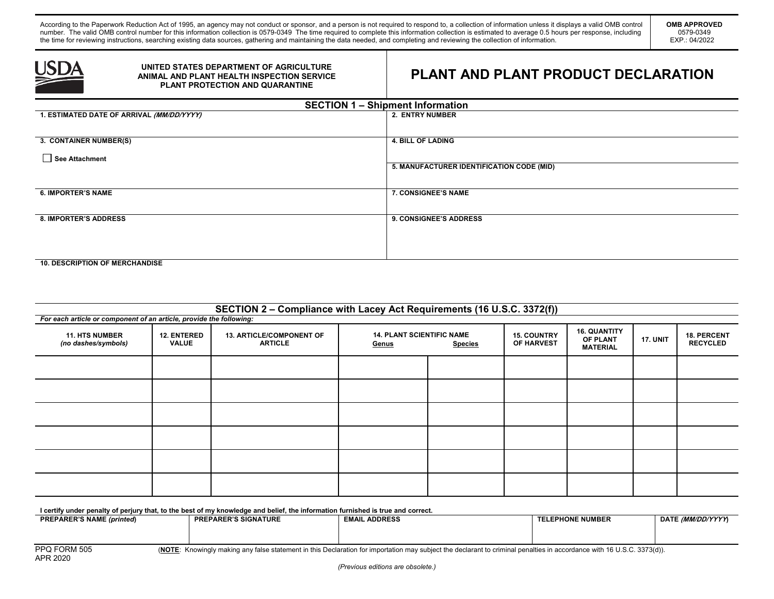According to the Paperwork Reduction Act of 1995, an agency may not conduct or sponsor, and a person is not required to respond to, a collection of information unless it displays a valid OMB control number. The valid OMB control number for this information collection is 0579-0349 The time required to complete this information collection is estimated to average 0.5 hours per response, including the time for reviewing instructions, searching existing data sources, gathering and maintaining the data needed, and completing and reviewing the collection of information.



## **UNITED STATES DEPARTMENT OF AGRICULTURE ANIMAL AND PLANT HEALTH INSPECTION SERVICE PLANT PROTECTION AND QUARANTINE**

## **PLANT AND PLANT PRODUCT DECLARATION**

| <b>SECTION 1 - Shipment Information</b>   |                                           |  |  |  |  |
|-------------------------------------------|-------------------------------------------|--|--|--|--|
| 1. ESTIMATED DATE OF ARRIVAL (MM/DD/YYYY) | 2. ENTRY NUMBER                           |  |  |  |  |
|                                           |                                           |  |  |  |  |
| 3. CONTAINER NUMBER(S)                    | <b>4. BILL OF LADING</b>                  |  |  |  |  |
| See Attachment                            |                                           |  |  |  |  |
|                                           | 5. MANUFACTURER IDENTIFICATION CODE (MID) |  |  |  |  |
|                                           |                                           |  |  |  |  |
| <b>6. IMPORTER'S NAME</b>                 | <b>7. CONSIGNEE'S NAME</b>                |  |  |  |  |
|                                           |                                           |  |  |  |  |
| <b>8. IMPORTER'S ADDRESS</b>              | 9. CONSIGNEE'S ADDRESS                    |  |  |  |  |
|                                           |                                           |  |  |  |  |
|                                           |                                           |  |  |  |  |
|                                           |                                           |  |  |  |  |
| <b>10. DESCRIPTION OF MERCHANDISE</b>     |                                           |  |  |  |  |

| SECTION 2 - Compliance with Lacey Act Requirements (16 U.S.C. 3372(f)) |                                    |                                                   |       |                                                                                        |  |                                                    |                 |                                       |
|------------------------------------------------------------------------|------------------------------------|---------------------------------------------------|-------|----------------------------------------------------------------------------------------|--|----------------------------------------------------|-----------------|---------------------------------------|
| For each article or component of an article, provide the following:    |                                    |                                                   |       |                                                                                        |  |                                                    |                 |                                       |
| <b>11. HTS NUMBER</b><br>(no dashes/symbols)                           | <b>12. ENTERED</b><br><b>VALUE</b> | <b>13. ARTICLE/COMPONENT OF</b><br><b>ARTICLE</b> | Genus | <b>14. PLANT SCIENTIFIC NAME</b><br><b>15. COUNTRY</b><br>OF HARVEST<br><b>Species</b> |  | <b>16. QUANTITY</b><br>OF PLANT<br><b>MATERIAL</b> | <b>17. UNIT</b> | <b>18. PERCENT</b><br><b>RECYCLED</b> |
|                                                                        |                                    |                                                   |       |                                                                                        |  |                                                    |                 |                                       |
|                                                                        |                                    |                                                   |       |                                                                                        |  |                                                    |                 |                                       |
|                                                                        |                                    |                                                   |       |                                                                                        |  |                                                    |                 |                                       |
|                                                                        |                                    |                                                   |       |                                                                                        |  |                                                    |                 |                                       |
|                                                                        |                                    |                                                   |       |                                                                                        |  |                                                    |                 |                                       |
|                                                                        |                                    |                                                   |       |                                                                                        |  |                                                    |                 |                                       |

**I certify under penalty of perjury that, to the best of my knowledge and belief, the information furnished is true and correct.** 

| <b>PREPARER'S NAME (printed)</b> | <b>PREPARER'S SIGNATURE</b> | <b>. ADDRESS</b><br><b>EMAIL</b> | <b>TELEPHONE NUMBER</b> | DATE <i>(MM/DD/YYYY</i> ) |
|----------------------------------|-----------------------------|----------------------------------|-------------------------|---------------------------|
|                                  |                             |                                  |                         |                           |
|                                  |                             |                                  |                         |                           |
|                                  |                             |                                  | .<br>.                  |                           |

PPQ FORM 505 **(NOTE:** Knowingly making any false statement in this Declaration for importation may subject the declarant to criminal penalties in accordance with 16 U.S.C. 3373(d)).